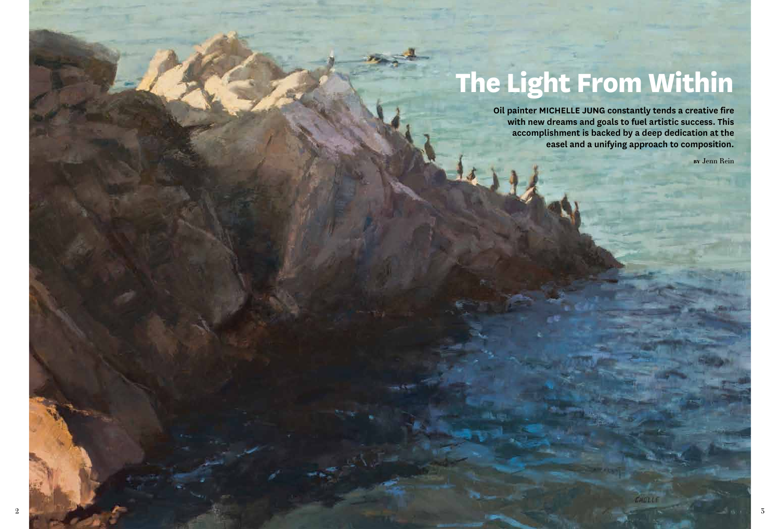# **The Light From Within**

**Oil painter MICHELLE JUNG constantly tends a creative fire with new dreams and goals to fuel artistic success. This accomplishment is backed by a deep dedication at the easel and a unifying approach to composition.**

**by** Jenn Rein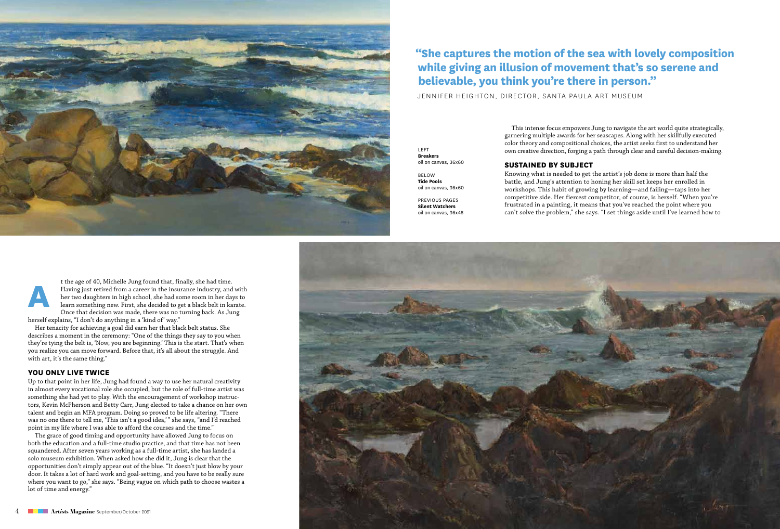

## **"She captures the motion of the sea with lovely composition while giving an illusion of movement that's so serene and believable, you think you're there in person."**

JENNIFER HEIGHTON, DIRECTOR, SANTA PAULA ART MUSEUM

This intense focus empowers Jung to navigate the art world quite strategically, garnering multiple awards for her seascapes. Along with her skillfully executed color theory and compositional choices, the artist seeks first to understand her own creative direction, forging a path through clear and careful decision-making.

**Sustained by Subject**

below **Tide Pools** oil on canvas, 36x60

oil on canvas, 36x60

left **Breakers**

previous pages **Silent Watchers** oil on canvas, 36x48 Knowing what is needed to get the artist's job done is more than half the battle, and Jung's attention to honing her skill set keeps her enrolled in workshops. This habit of growing by learning—and failing—taps into her competitive side. Her fiercest competitor, of course, is herself. "When you're frustrated in a painting, it means that you've reached the point where you can't solve the problem," she says. "I set things aside until I've learned how to

**A** t the age of 40, Michelle Jung found that, finally, she had time. Having just retired from a career in the insurance industry, and with her two daughters in high school, she had some room in her days to learn something new. First, she decided to get a black belt in karate. Once that decision was made, there was no turning back. As Jung

herself explains, "I don't do anything in a 'kind of' way." Her tenacity for achieving a goal did earn her that black belt status. She

describes a moment in the ceremony: "One of the things they say to you when they're tying the belt is, 'Now, you are beginning.' This is the start. That's when you realize you can move forward. Before that, it's all about the struggle. And with art, it's the same thing."

#### **You Only Live Twice**

Up to that point in her life, Jung had found a way to use her natural creativity in almost every vocational role she occupied, but the role of full-time artist was something she had yet to play. With the encouragement of workshop instructors, Kevin McPherson and Betty Carr, Jung elected to take a chance on her own talent and begin an MFA program. Doing so proved to be life altering. "There was no one there to tell me, 'This isn't a good idea,'" she says, "and I'd reached point in my life where I was able to afford the courses and the time."

The grace of good timing and opportunity have allowed Jung to focus on both the education and a full-time studio practice, and that time has not been squandered. After seven years working as a full-time artist, she has landed a solo museum exhibition. When asked how she did it, Jung is clear that the opportunities don't simply appear out of the blue. "It doesn't just blow by your door. It takes a lot of hard work and goal-setting, and you have to be really sure where you want to go," she says. "Being vague on which path to choose wastes a lot of time and energy."

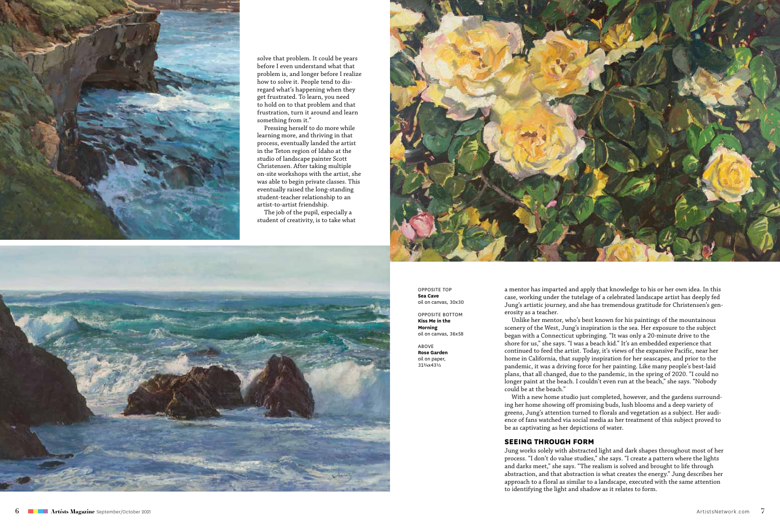

solve that problem. It could be years before I even understand what that problem is, and longer before I realize how to solve it. People tend to dis regard what's happening when they get frustrated. To learn, you need to hold on to that problem and that frustration, turn it around and learn something from it."

Pressing herself to do more while learning more, and thriving in that process, eventually landed the artist in the Teton region of Idaho at the studio of landscape painter Scott Christensen. After taking multiple on-site workshops with the artist, she was able to begin private classes. This eventually raised the long-standing student-teacher relationship to an artist-to-artist friendship.

The job of the pupil, especially a student of creativity, is to take what



opposite top **Sea Cave** oil on canvas, 30x30

opposite bottom **Kiss Me in the Morning** oil on canvas, 36x58

above **Rose Garden** oil on paper, 313/4x431/2

a mentor has imparted and apply that knowledge to his or her own idea. In this case, working under the tutelage of a celebrated landscape artist has deeply fed Jung's artistic journey, and she has tremendous gratitude for Christensen's gen erosity as a teacher.

Unlike her mentor, who's best known for his paintings of the mountainous scenery of the West, Jung's inspiration is the sea. Her exposure to the subject began with a Connecticut upbringing. "It was only a 20-minute drive to the shore for us," she says. "I was a beach kid." It's an embedded experience that continued to feed the artist. Today, it's views of the expansive Pacific, near her home in California, that supply inspiration for her seascapes, and prior to the pandemic, it was a driving force for her painting. Like many people's best-laid plans, that all changed, due to the pandemic, in the spring of 2020. "I could no longer paint at the beach. I couldn't even run at the beach," she says. "Nobody could be at the beach."

With a new home studio just completed, however, and the gardens surround ing her home showing off promising buds, lush blooms and a deep variety of greens, Jung's attention turned to florals and vegetation as a subject. Her audi ence of fans watched via social media as her treatment of this subject proved to be as captivating as her depictions of water.

#### **Seeing Through Form**

Jung works solely with abstracted light and dark shapes throughout most of her process. "I don't do value studies," she says. "I create a pattern where the lights and darks meet," she says. "The realism is solved and brought to life through abstraction, and that abstraction is what creates the energy." Jung describes her approach to a floral as similar to a landscape, executed with the same attention to identifying the light and shadow as it relates to form.